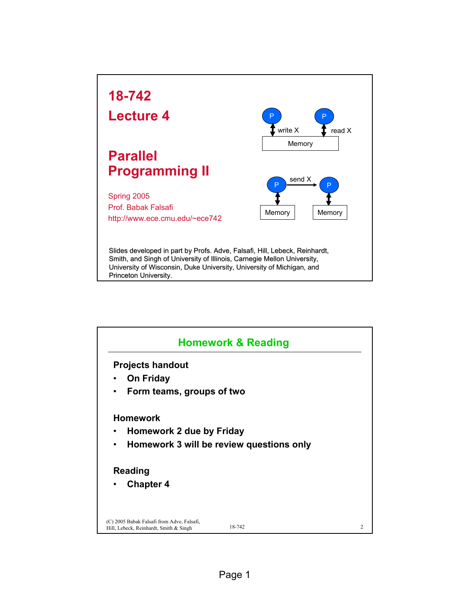

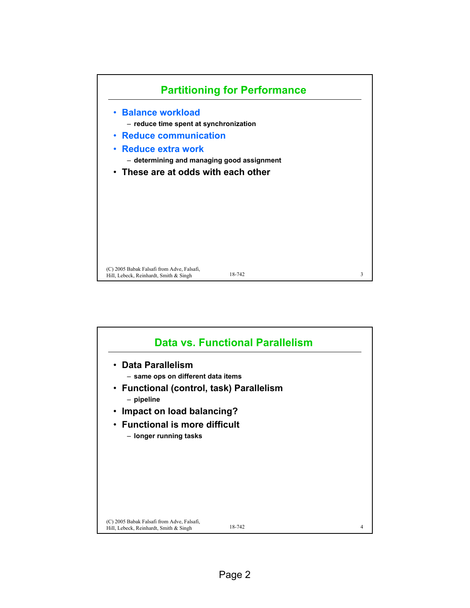

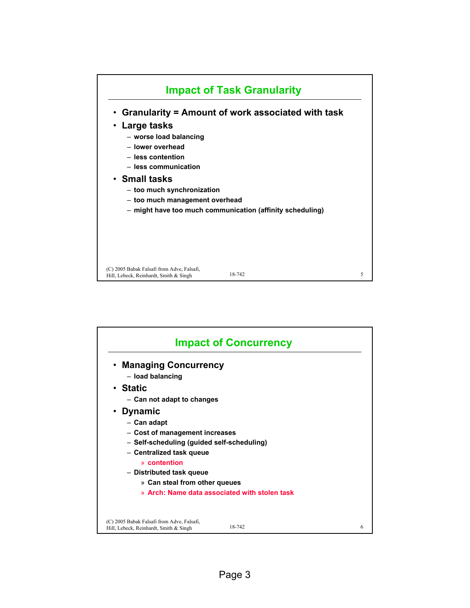

|                                                                                      | <b>Impact of Concurrency</b>                  |   |
|--------------------------------------------------------------------------------------|-----------------------------------------------|---|
| • Managing Concurrency<br>- load balancing                                           |                                               |   |
| • Static                                                                             |                                               |   |
| - Can not adapt to changes                                                           |                                               |   |
| • Dynamic                                                                            |                                               |   |
| - Can adapt                                                                          |                                               |   |
| - Cost of management increases                                                       |                                               |   |
| - Self-scheduling (guided self-scheduling)                                           |                                               |   |
| - Centralized task queue                                                             |                                               |   |
| » contention                                                                         |                                               |   |
| - Distributed task queue                                                             |                                               |   |
| » Can steal from other queues                                                        |                                               |   |
|                                                                                      | » Arch: Name data associated with stolen task |   |
|                                                                                      |                                               |   |
| (C) 2005 Babak Falsafi from Adve, Falsafi,<br>Hill, Lebeck, Reinhardt, Smith & Singh | 18-742                                        | 6 |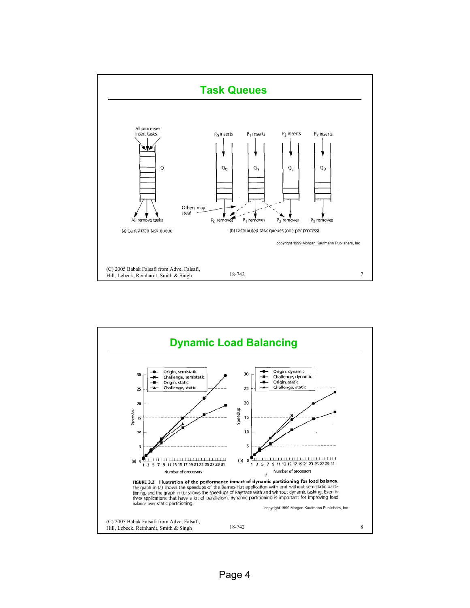

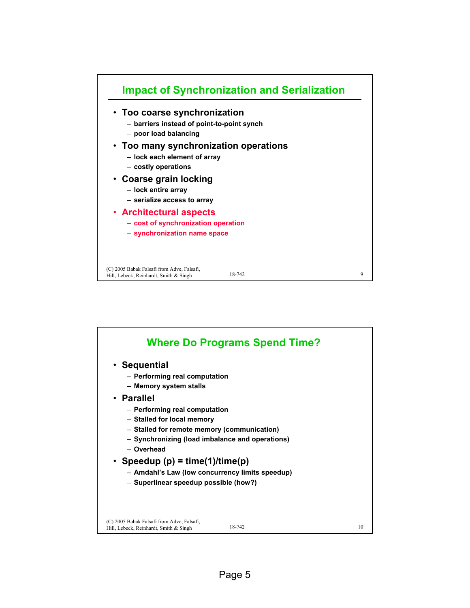

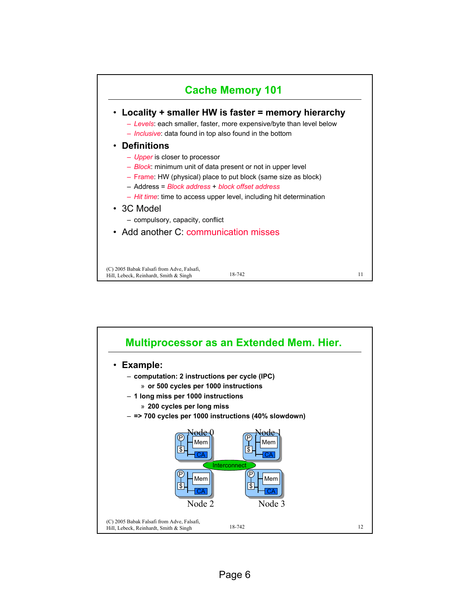

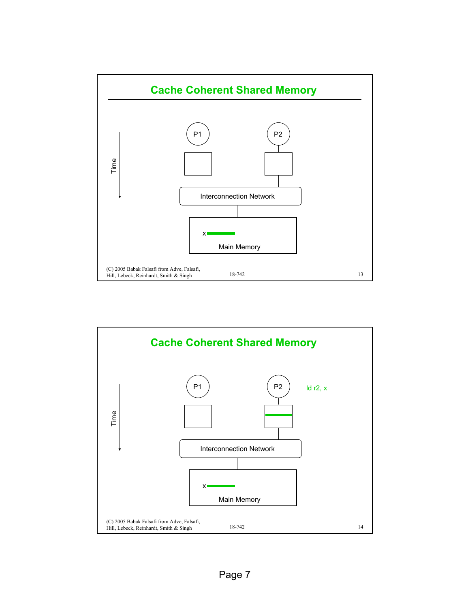

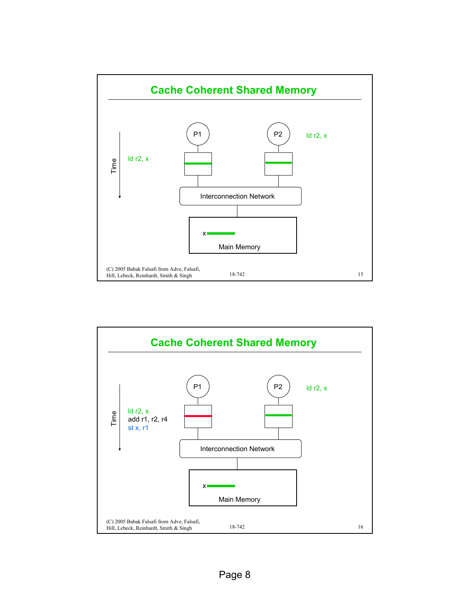

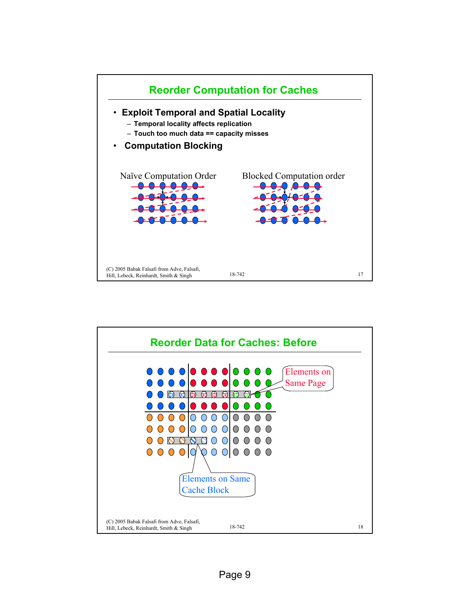

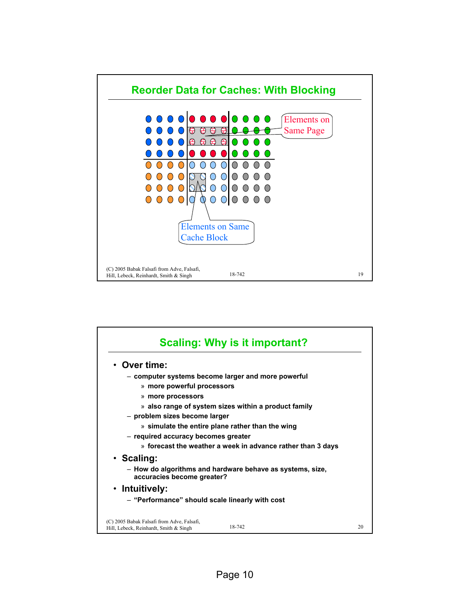

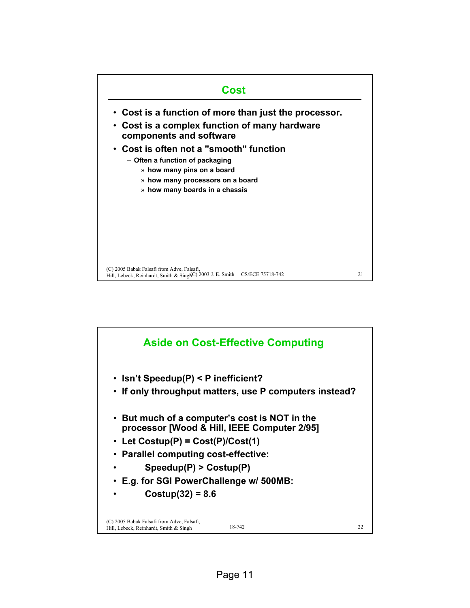

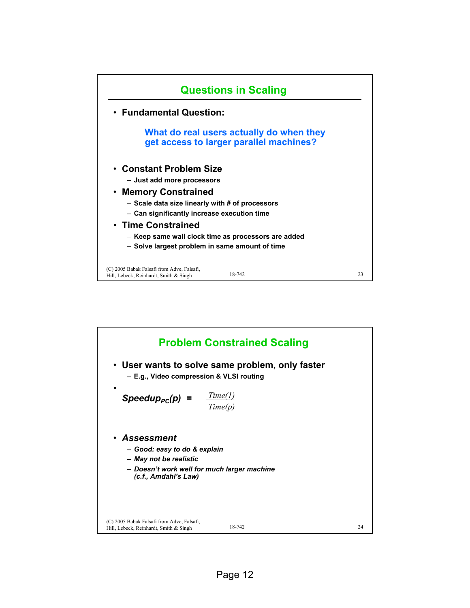

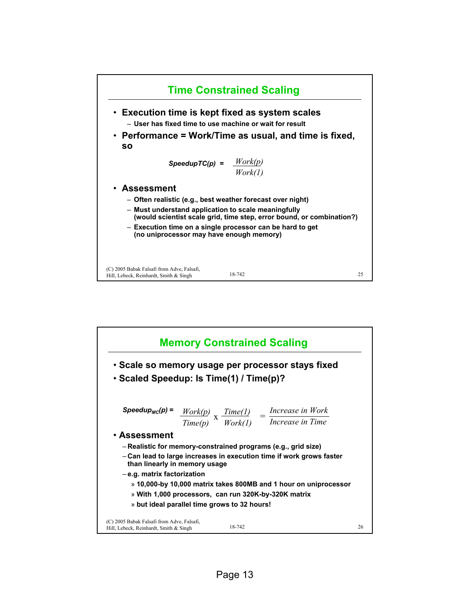